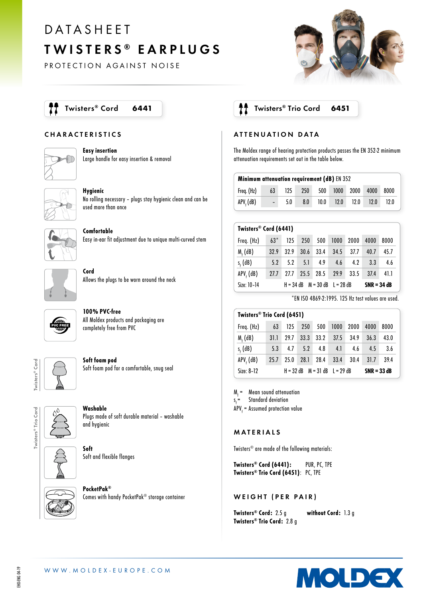# DATASHEET TWISTERS ® EARPLUGS

PROTECTION AGAINST NOISE



#### CHARACTERISTICS



Easy insertion Large handle for easy insertion & removal



Hygienic No rolling necessary – plugs stay hygienic clean and can be used more than once



Comfortable Easy in-ear fit adjustment due to unique multi-curved stem



Cord Allows the plugs to be worn around the neck



100% PVC-free All Moldex products and packaging are completely free from PVC



Soft foam pod Soft foam pod for a comfortable, snug seal



Washable Plugs made of soft durable material – washable and hygienic



Soft Soft and flexible flanges



PocketPak® Comes with handy PocketPak® storage container

### Twisters® Cord 6441 | **The Soutiers** Trio Cord 6451

#### ATTENUATION DATA

The Moldex range of hearing protection products passes the EN 352-2 minimum attenuation requirements set out in the table below.

| <b>Minimum attenuation requirement (dB)</b> EN 352 |                          |     |     |      |      |      |      |      |
|----------------------------------------------------|--------------------------|-----|-----|------|------|------|------|------|
| Freq. (Hz)                                         | 63                       | 125 | 250 | 500  | 1000 | 2000 | 4000 | 8000 |
| APV, (dB)                                          | $\overline{\phantom{0}}$ | 5.0 | 8.0 | 10.0 | 12.0 | 12.0 | 12.0 | 12.0 |

| Twisters® Cord (6441) |        |      |      |                                     |      |      |      |               |  |
|-----------------------|--------|------|------|-------------------------------------|------|------|------|---------------|--|
| Freq. (Hz)            | $63^*$ | 125  | 250  | 500                                 | 1000 | 2000 | 4000 | 8000          |  |
| $Mf$ (dB)             | 32.9   | 32.9 | 30.6 | 33.4                                | 34.5 | 37.7 | 40.7 | 45.7          |  |
| $s_{\epsilon}$ (dB)   | 5.2    | 5.2  | 5.1  | 4.9                                 | 4.6  | 4.2  | 3.3  | 4.6           |  |
| APV, (dB)             | 27.7   | 27.7 | 25.5 | 28.5                                | 29.9 | 33.5 | 37.4 | 41.1          |  |
| Size: 10-14           |        |      |      | $H = 34 dB$ $M = 30 dB$ $L = 28 dB$ |      |      |      | $SNR = 34 dB$ |  |

\*EN ISO 4869-2:1995. 125 Hz test values are used.

| Twisters <sup>®</sup> Trio Cord (6451) |                                     |      |             |      |      |      |               |      |
|----------------------------------------|-------------------------------------|------|-------------|------|------|------|---------------|------|
| Freq. (Hz)                             | 63                                  | 125  | 250         | 500  | 1000 | 2000 | 4000          | 8000 |
| $Mf$ (dB)                              | 31.1                                | 29.7 | 33.3        | 33.2 | 37.5 | 34.9 | 36.3          | 43.0 |
| $s_{\epsilon}$ (dB)                    | 5.3                                 | 4.7  | 5.2         | 4.8  | 4.1  | 4.6  | 4.5           | 3.6  |
| $APVf$ (dB)                            | 25.7                                | 25.0 | <b>28.1</b> | 28.4 | 33.4 | 30.4 | 31.7          | 39.4 |
| Size: 8-12                             | $H = 32 dB$ $M = 31 dB$ $L = 29 dB$ |      |             |      |      |      | $SNR = 33 dB$ |      |

 $M<sub>r</sub>$  = Mean sound attenuation

s Standard deviation

APV<sub>f</sub> = Assumed protection value

#### MATERIALS

Twisters® are made of the following materials:

Twisters® Cord (6441): PUR, PC, TPE Twisters® Trio Cord (6451): PC, TPE

WEIGHT (PER PAIR)

Twisters<sup>®</sup> Cord: 2.5 g without Cord: 1.3 g Twisters® Trio Cord: 2.8 g